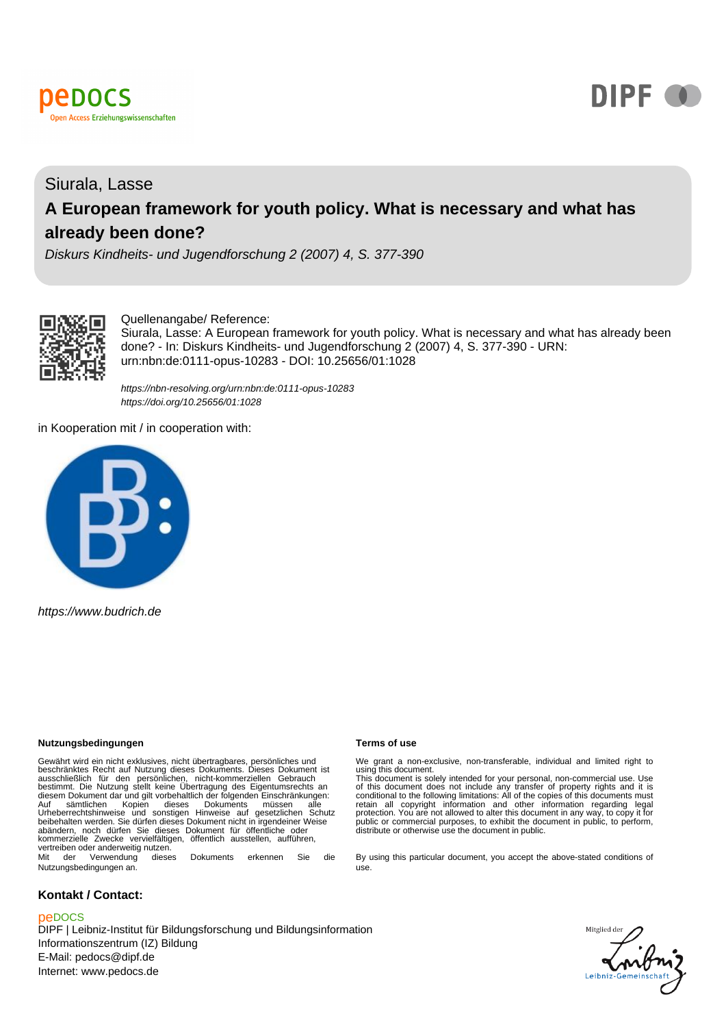



# Siurala, Lasse **A European framework for youth policy. What is necessary and what has already been done?**

Diskurs Kindheits- und Jugendforschung 2 (2007) 4, S. 377-390



## Quellenangabe/ Reference:

Siurala, Lasse: A European framework for youth policy. What is necessary and what has already been done? - In: Diskurs Kindheits- und Jugendforschung 2 (2007) 4, S. 377-390 - URN: urn:nbn:de:0111-opus-10283 - DOI: 10.25656/01:1028

<https://nbn-resolving.org/urn:nbn:de:0111-opus-10283> <https://doi.org/10.25656/01:1028>

in Kooperation mit / in cooperation with:



https://www.budrich.de

#### **Nutzungsbedingungen Terms of use**

Gewährt wird ein nicht exklusives, nicht übertragbares, persönliches und<br>beschränktes Recht auf Nutzung dieses Dokuments. Dieses Dokument ist<br>ausschließlich für den persönlichen, nicht-kommerziellen Gebrauch<br>bestimmt. Die Auf sämtlichen Kopien dieses Dokuments müssen alle Urheberrechtshinweise und sonstigen Hinweise auf gesetzlichen Schutz beibehalten werden. Sie dürfen dieses Dokument nicht in irgendeiner Weise abändern, noch dürfen Sie dieses Dokument für öffentliche oder kommerzielle Zwecke vervielfältigen, öffentlich ausstellen, aufführen, vertreiben oder anderweitig nutzen. Mit der Verwendung dieses Dokuments erkennen Sie die

Nutzungsbedingungen an.

#### **Kontakt / Contact:**

#### peDOCS

DIPF | Leibniz-Institut für Bildungsforschung und Bildungsinformation Informationszentrum (IZ) Bildung E-Mail: pedocs@dipf.de Internet: www.pedocs.de

We grant a non-exclusive, non-transferable, individual and limited right to<br>using this document.<br>This document is solely intended for your personal, non-commercial use. Use<br>of this document does not include any transfer of

By using this particular document, you accept the above-stated conditions of use.

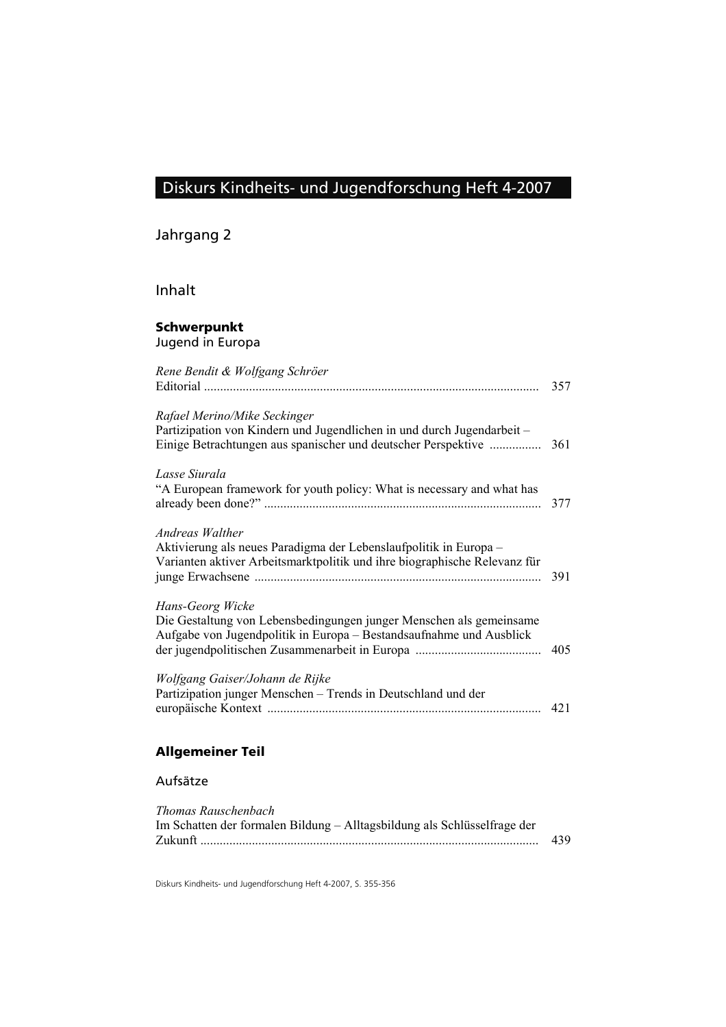# Diskurs Kindheits- und Jugendforschung Heft 4-2007

Jahrgang 2

Inhalt

## **Schwerpunkt** Jugend in Europa

| Rene Bendit & Wolfgang Schröer                                                                                                                                         | 357 |
|------------------------------------------------------------------------------------------------------------------------------------------------------------------------|-----|
| Rafael Merino/Mike Seckinger<br>Partizipation von Kindern und Jugendlichen in und durch Jugendarbeit-<br>Einige Betrachtungen aus spanischer und deutscher Perspektive | 361 |
| Lasse Siurala<br>"A European framework for youth policy: What is necessary and what has                                                                                | 377 |
| Andreas Walther<br>Aktivierung als neues Paradigma der Lebenslaufpolitik in Europa –<br>Varianten aktiver Arbeitsmarktpolitik und ihre biographische Relevanz für      | 391 |
| Hans-Georg Wicke<br>Die Gestaltung von Lebensbedingungen junger Menschen als gemeinsame<br>Aufgabe von Jugendpolitik in Europa – Bestandsaufnahme und Ausblick         | 405 |
| Wolfgang Gaiser/Johann de Rijke<br>Partizipation junger Menschen - Trends in Deutschland und der                                                                       | 421 |

## **Allgemeiner Teil**

## Aufsätze

| 439 |
|-----|
|     |

Diskurs Kindheits- und Jugendforschung Heft 4-2007, S. 355-356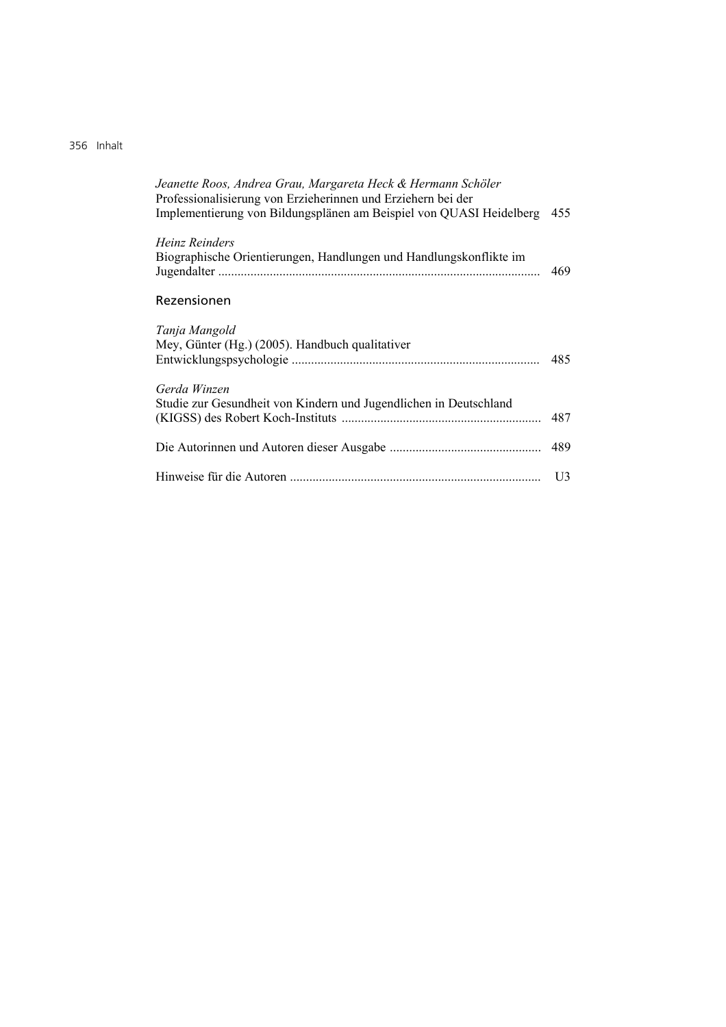## 356Inhalt

| Jeanette Roos, Andrea Grau, Margareta Heck & Hermann Schöler<br>Professionalisierung von Erzieherinnen und Erziehern bei der<br>Implementierung von Bildungsplänen am Beispiel von QUASI Heidelberg | 455 |
|-----------------------------------------------------------------------------------------------------------------------------------------------------------------------------------------------------|-----|
| Heinz Reinders<br>Biographische Orientierungen, Handlungen und Handlungskonflikte im                                                                                                                | 469 |
| Rezensionen                                                                                                                                                                                         |     |
| Tanja Mangold<br>Mey, Günter (Hg.) (2005). Handbuch qualitativer                                                                                                                                    | 485 |
| Gerda Winzen<br>Studie zur Gesundheit von Kindern und Jugendlichen in Deutschland                                                                                                                   | 487 |
|                                                                                                                                                                                                     | 489 |
|                                                                                                                                                                                                     | U3  |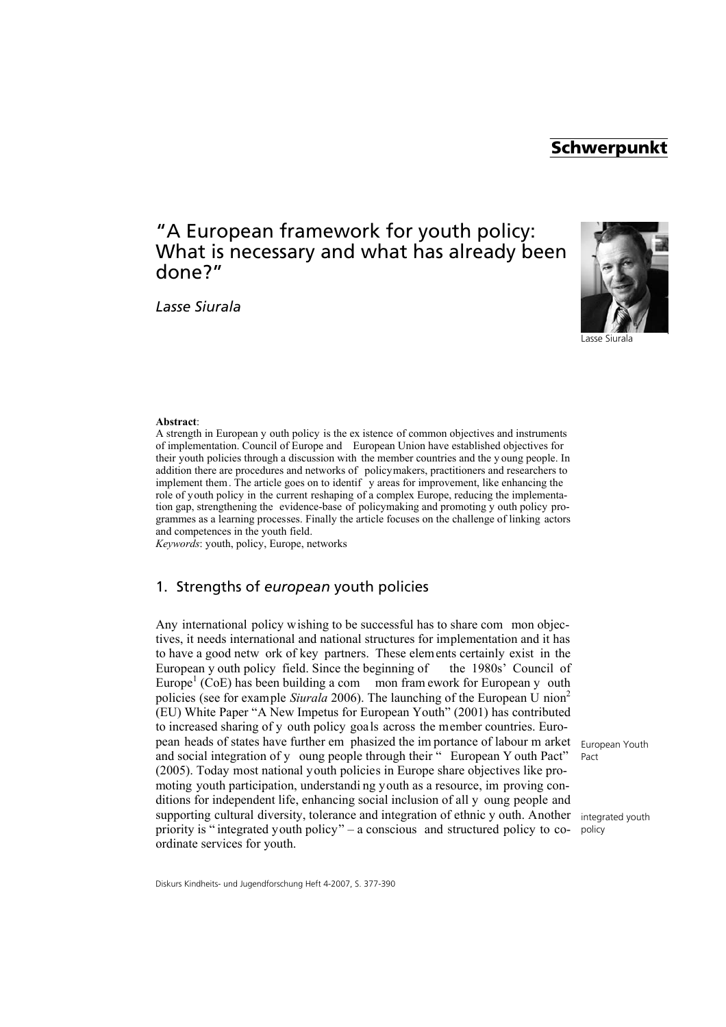## **Schwerpunkt**

## "A European framework for youth policy: What is necessary and what has already been done?"

*Lasse Siurala*



Lasse Siurala

#### **Abstract**:

A strength in European y outh policy is the ex istence of common objectives and instruments of implementation. Council of Europe and European Union have established objectives for their youth policies through a discussion with the member countries and the y oung people. In addition there are procedures and networks of policymakers, practitioners and researchers to implement them. The article goes on to identif y areas for improvement, like enhancing the role of youth policy in the current reshaping of a complex Europe, reducing the implementation gap, strengthening the evidence-base of policymaking and promoting y outh policy programmes as a learning processes. Finally the article focuses on the challenge of linking actors and competences in the youth field.

*Keywords*: youth, policy, Europe, networks

## 1. Strengths of *european* youth policies

Any international policy wishing to be successful has to share com mon objectives, it needs international and national structures for implementation and it has to have a good netw ork of key partners. These elements certainly exist in the European y outh policy field. Since the beginning of the 1980s' Council of Europe<sup>1</sup> (CoE) has been building a com mon fram ework for European y outh policies (see for example *Siurala* 2006). The launching of the European U nion2 (EU) White Paper "A New Impetus for European Youth" (2001) has contributed to increased sharing of y outh policy goals across the member countries. European heads of states have further em phasized the im portance of labour m arket and social integration of y oung people through their " European Y outh Pact" (2005). Today most national youth policies in Europe share objectives like promoting youth participation, understandi ng youth as a resource, im proving conditions for independent life, enhancing social inclusion of all y oung people and supporting cultural diversity, tolerance and integration of ethnic y outh. Another priority is " integrated youth policy" – a conscious and structured policy to coordinate services for youth.

European Youth Pact

integrated youth policy

Diskurs Kindheits- und Jugendforschung Heft 4-2007, S. 377-390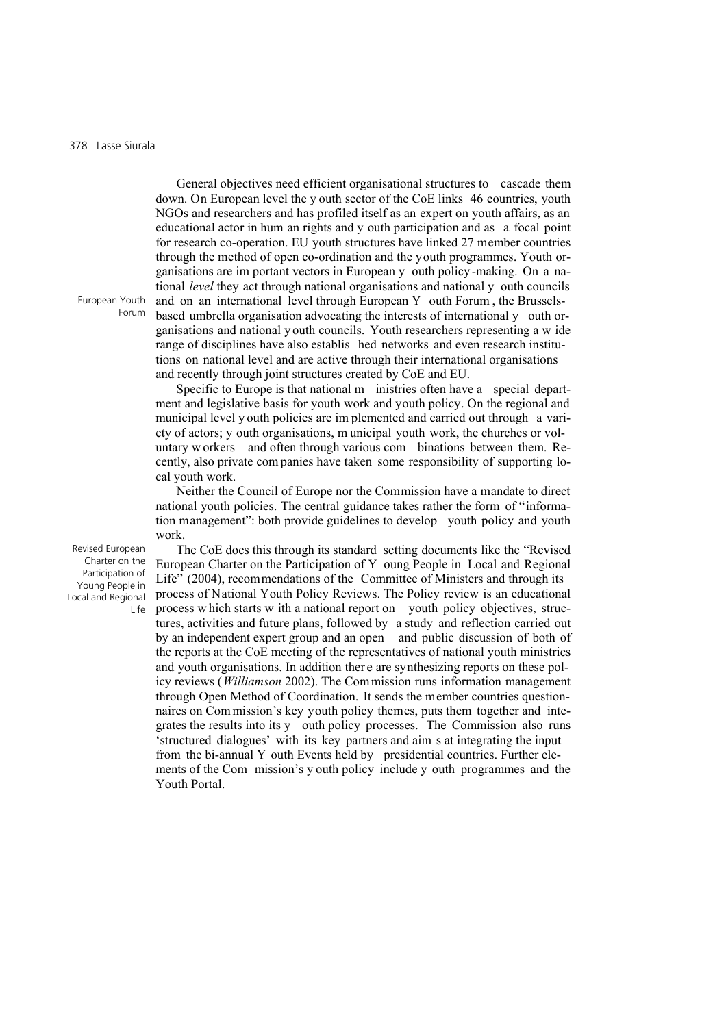General objectives need efficient organisational structures to cascade them down. On European level the y outh sector of the CoE links 46 countries, youth NGOs and researchers and has profiled itself as an expert on youth affairs, as an educational actor in hum an rights and y outh participation and as a focal point for research co-operation. EU youth structures have linked 27 member countries through the method of open co-ordination and the youth programmes. Youth organisations are im portant vectors in European y outh policy -making. On a national *level* they act through national organisations and national y outh councils and on an international level through European Y outh Forum , the Brusselsbased umbrella organisation advocating the interests of international y outh organisations and national y outh councils. Youth researchers representing a w ide range of disciplines have also establis hed networks and even research institutions on national level and are active through their international organisations and recently through joint structures created by CoE and EU.

Specific to Europe is that national m inistries often have a special department and legislative basis for youth work and youth policy. On the regional and municipal level y outh policies are im plemented and carried out through a variety of actors; y outh organisations, m unicipal youth work, the churches or voluntary w orkers – and often through various com binations between them. Recently, also private com panies have taken some responsibility of supporting local youth work.

Neither the Council of Europe nor the Commission have a mandate to direct national youth policies. The central guidance takes rather the form of "information management": both provide guidelines to develop youth policy and youth work.

Revised European Charter on the Participation of Young People in Local and Regional Life

The CoE does this through its standard setting documents like the "Revised European Charter on the Participation of Y oung People in Local and Regional Life" (2004), recommendations of the Committee of Ministers and through its process of National Youth Policy Reviews. The Policy review is an educational process w hich starts w ith a national report on youth policy objectives, structures, activities and future plans, followed by a study and reflection carried out by an independent expert group and an open and public discussion of both of the reports at the CoE meeting of the representatives of national youth ministries and youth organisations. In addition ther e are synthesizing reports on these policy reviews (*Williamson* 2002). The Commission runs information management through Open Method of Coordination. It sends the member countries questionnaires on Com mission's key youth policy themes, puts them together and integrates the results into its y outh policy processes. The Commission also runs 'structured dialogues' with its key partners and aim s at integrating the input from the bi-annual Y outh Events held by presidential countries. Further elements of the Com mission's y outh policy include y outh programmes and the Youth Portal.

European Youth Forum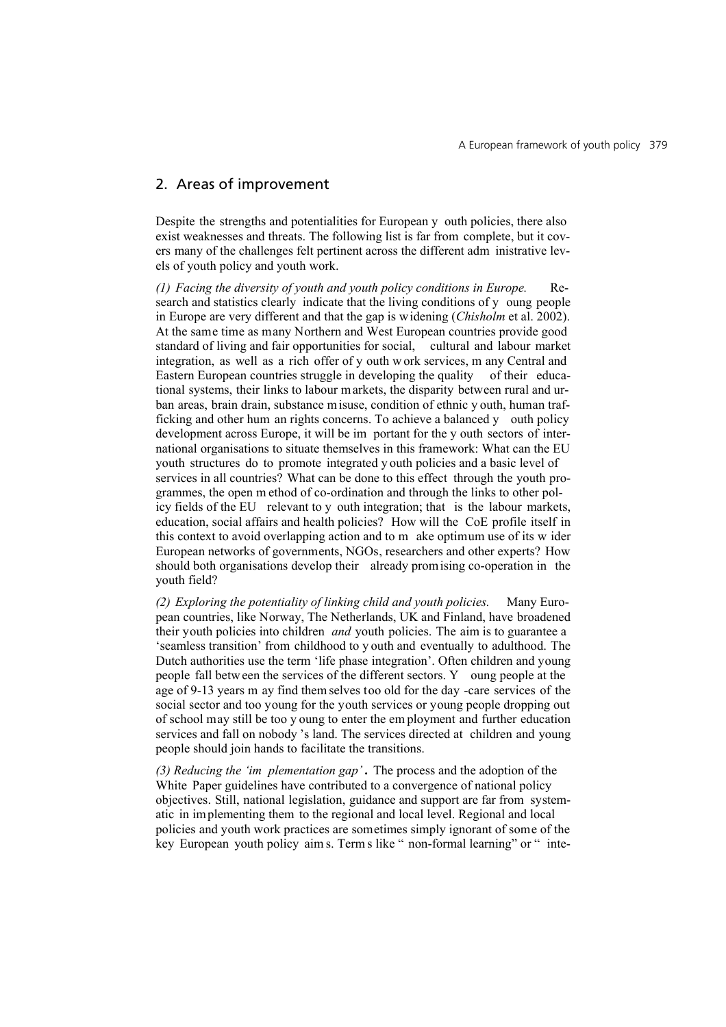## 2. Areas of improvement

Despite the strengths and potentialities for European y outh policies, there also exist weaknesses and threats. The following list is far from complete, but it covers many of the challenges felt pertinent across the different adm inistrative levels of youth policy and youth work.

*(1) Facing the diversity of youth and youth policy conditions in Europe.* Research and statistics clearly indicate that the living conditions of y oung people in Europe are very different and that the gap is widening (*Chisholm* et al. 2002). At the same time as many Northern and West European countries provide good standard of living and fair opportunities for social, cultural and labour market integration, as well as a rich offer of y outh w ork services, m any Central and Eastern European countries struggle in developing the quality of their educational systems, their links to labour markets, the disparity between rural and urban areas, brain drain, substance misuse, condition of ethnic y outh, human trafficking and other hum an rights concerns. To achieve a balanced y outh policy development across Europe, it will be im portant for the y outh sectors of international organisations to situate themselves in this framework: What can the EU youth structures do to promote integrated y outh policies and a basic level of services in all countries? What can be done to this effect through the youth programmes, the open m ethod of co-ordination and through the links to other policy fields of the EU relevant to y outh integration; that is the labour markets, education, social affairs and health policies? How will the CoE profile itself in this context to avoid overlapping action and to m ake optimum use of its w ider European networks of governments, NGOs, researchers and other experts? How should both organisations develop their already promising co-operation in the youth field?

*(2) Exploring the potentiality of linking child and youth policies.* Many European countries, like Norway, The Netherlands, UK and Finland, have broadened their youth policies into children *and* youth policies. The aim is to guarantee a 'seamless transition' from childhood to y outh and eventually to adulthood. The Dutch authorities use the term 'life phase integration'. Often children and young people fall betw een the services of the different sectors. Y oung people at the age of 9-13 years m ay find them selves too old for the day -care services of the social sector and too young for the youth services or young people dropping out of school may still be too y oung to enter the em ployment and further education services and fall on nobody 's land. The services directed at children and young people should join hands to facilitate the transitions.

*(3) Reducing the 'im plementation gap'* **.** The process and the adoption of the White Paper guidelines have contributed to a convergence of national policy objectives. Still, national legislation, guidance and support are far from systematic in implementing them to the regional and local level. Regional and local policies and youth work practices are sometimes simply ignorant of some of the key European youth policy aim s. Term s like " non-formal learning" or " inte-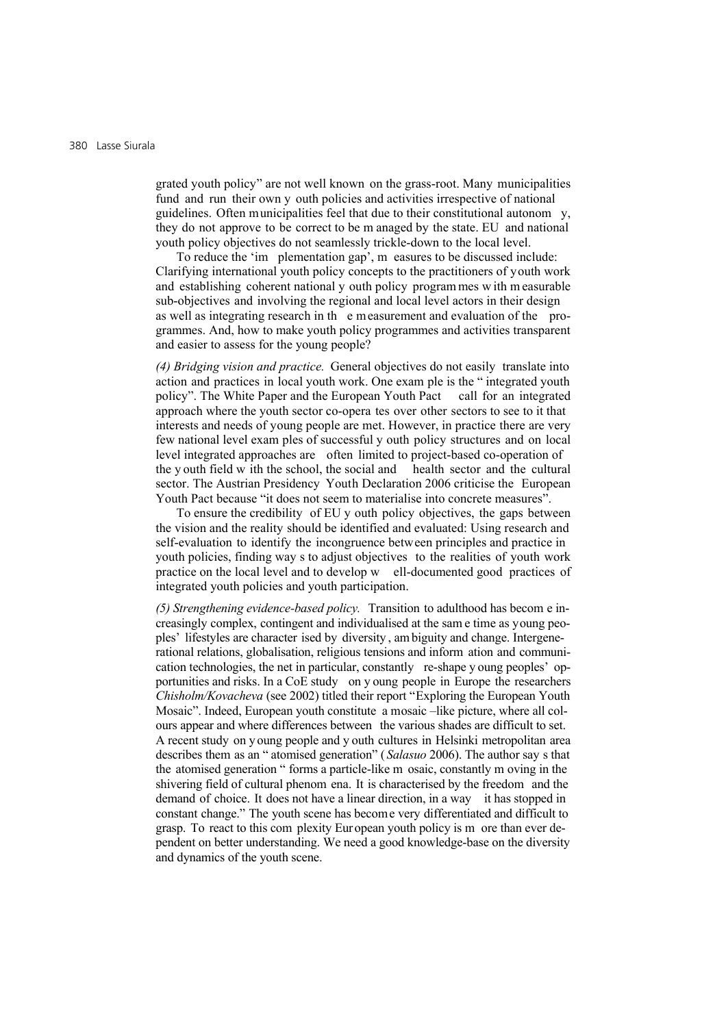grated youth policy" are not well known on the grass-root. Many municipalities fund and run their own y outh policies and activities irrespective of national guidelines. Often municipalities feel that due to their constitutional autonom y, they do not approve to be correct to be m anaged by the state. EU and national youth policy objectives do not seamlessly trickle-down to the local level.

To reduce the 'im plementation gap', m easures to be discussed include: Clarifying international youth policy concepts to the practitioners of youth work and establishing coherent national y outh policy program mes w ith m easurable sub-objectives and involving the regional and local level actors in their design as well as integrating research in th e measurement and evaluation of the programmes. And, how to make youth policy programmes and activities transparent and easier to assess for the young people?

*(4) Bridging vision and practice.* General objectives do not easily translate into action and practices in local youth work. One exam ple is the " integrated youth policy". The White Paper and the European Youth Pact call for an integrated approach where the youth sector co-opera tes over other sectors to see to it that interests and needs of young people are met. However, in practice there are very few national level exam ples of successful y outh policy structures and on local level integrated approaches are often limited to project-based co-operation of the y outh field w ith the school, the social and health sector and the cultural sector. The Austrian Presidency Youth Declaration 2006 criticise the European Youth Pact because "it does not seem to materialise into concrete measures".

To ensure the credibility of EU y outh policy objectives, the gaps between the vision and the reality should be identified and evaluated: Using research and self-evaluation to identify the incongruence between principles and practice in youth policies, finding way s to adjust objectives to the realities of youth work practice on the local level and to develop w ell-documented good practices of integrated youth policies and youth participation.

*(5) Strengthening evidence-based policy.* Transition to adulthood has becom e increasingly complex, contingent and individualised at the sam e time as young peoples' lifestyles are character ised by diversity , am biguity and change. Intergenerational relations, globalisation, religious tensions and inform ation and communication technologies, the net in particular, constantly re-shape y oung peoples' opportunities and risks. In a CoE study on y oung people in Europe the researchers *Chisholm/Kovacheva* (see 2002) titled their report "Exploring the European Youth Mosaic". Indeed, European youth constitute a mosaic –like picture, where all colours appear and where differences between the various shades are difficult to set. A recent study on young people and y outh cultures in Helsinki metropolitan area describes them as an " atomised generation" ( *Salasuo* 2006). The author say s that the atomised generation " forms a particle-like m osaic, constantly m oving in the shivering field of cultural phenom ena. It is characterised by the freedom and the demand of choice. It does not have a linear direction, in a way it has stopped in constant change." The youth scene has become very differentiated and difficult to grasp. To react to this com plexity European youth policy is m ore than ever dependent on better understanding. We need a good knowledge-base on the diversity and dynamics of the youth scene.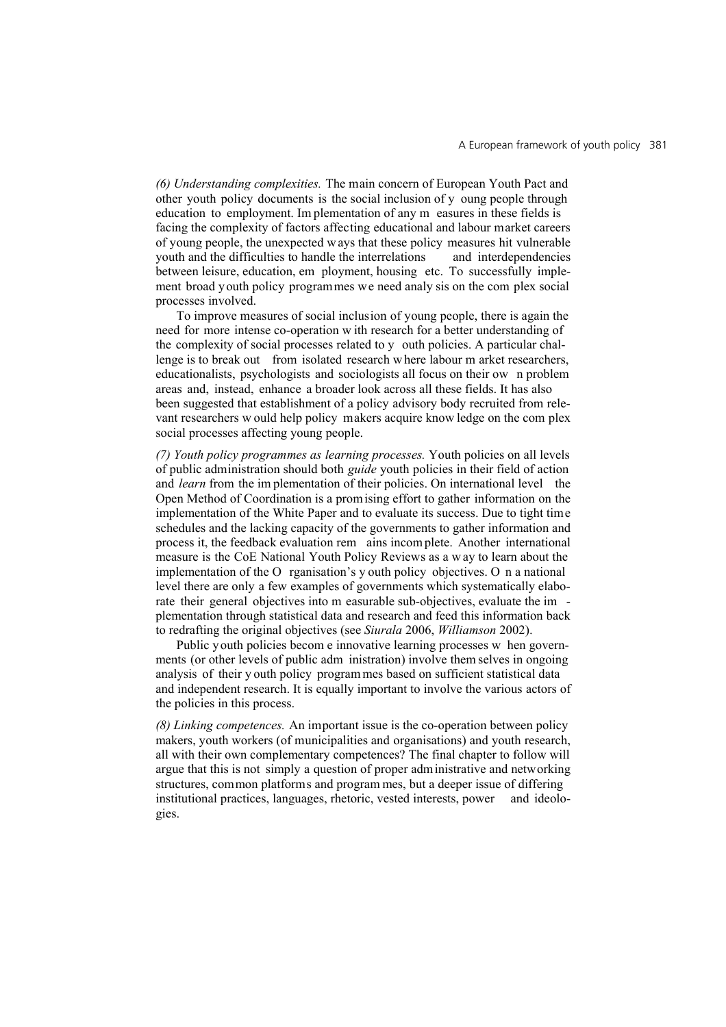*(6) Understanding complexities.* The main concern of European Youth Pact and other youth policy documents is the social inclusion of y oung people through education to employment. Im plementation of any m easures in these fields is facing the complexity of factors affecting educational and labour market careers of young people, the unexpected w ays that these policy measures hit vulnerable youth and the difficulties to handle the interrelations and interdependencies between leisure, education, em ployment, housing etc. To successfully implement broad youth policy programmes we need analy sis on the com plex social processes involved.

To improve measures of social inclusion of young people, there is again the need for more intense co-operation w ith research for a better understanding of the complexity of social processes related to y outh policies. A particular challenge is to break out from isolated research w here labour m arket researchers, educationalists, psychologists and sociologists all focus on their ow n problem areas and, instead, enhance a broader look across all these fields. It has also been suggested that establishment of a policy advisory body recruited from relevant researchers w ould help policy makers acquire know ledge on the com plex social processes affecting young people.

*(7) Youth policy programmes as learning processes.* Youth policies on all levels of public administration should both *guide* youth policies in their field of action and *learn* from the im plementation of their policies. On international level the Open Method of Coordination is a promising effort to gather information on the implementation of the White Paper and to evaluate its success. Due to tight time schedules and the lacking capacity of the governments to gather information and process it, the feedback evaluation rem ains incom plete. Another international measure is the CoE National Youth Policy Reviews as a w ay to learn about the implementation of the O rganisation's y outh policy objectives. O n a national level there are only a few examples of governments which systematically elaborate their general objectives into m easurable sub-objectives, evaluate the im plementation through statistical data and research and feed this information back to redrafting the original objectives (see *Siurala* 2006, *Williamson* 2002).

Public youth policies becom e innovative learning processes w hen governments (or other levels of public adm inistration) involve them selves in ongoing analysis of their y outh policy program mes based on sufficient statistical data and independent research. It is equally important to involve the various actors of the policies in this process.

*(8) Linking competences.* An important issue is the co-operation between policy makers, youth workers (of municipalities and organisations) and youth research, all with their own complementary competences? The final chapter to follow will argue that this is not simply a question of proper administrative and networking structures, common platforms and program mes, but a deeper issue of differing institutional practices, languages, rhetoric, vested interests, power and ideologies.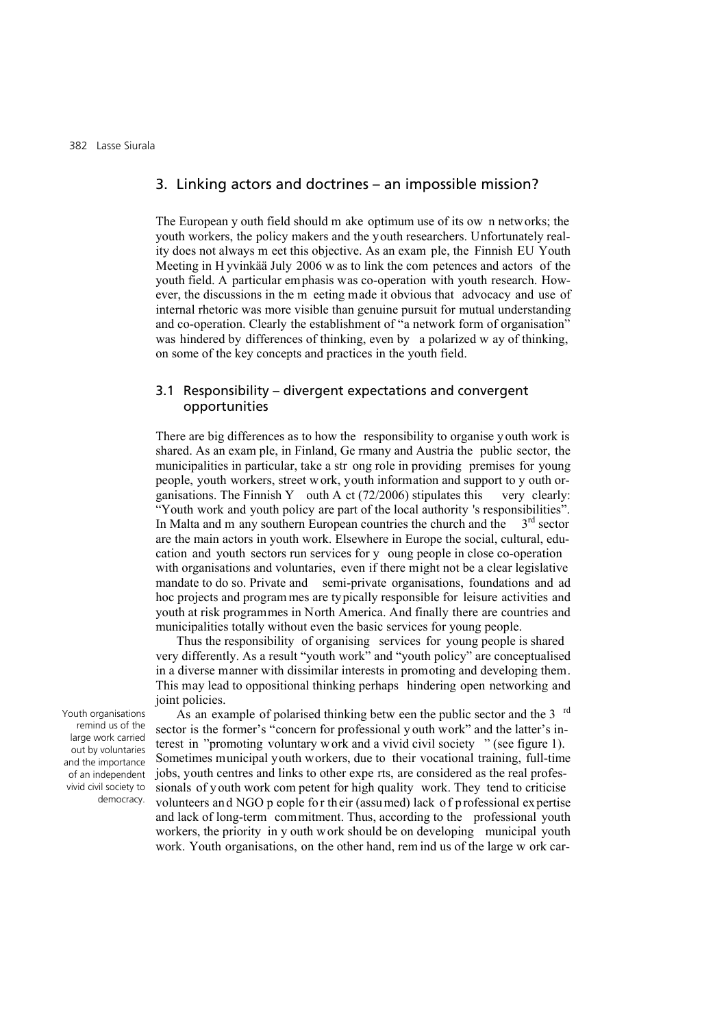## 3. Linking actors and doctrines – an impossible mission?

The European y outh field should m ake optimum use of its ow n networks; the youth workers, the policy makers and the youth researchers. Unfortunately reality does not always m eet this objective. As an exam ple, the Finnish EU Youth Meeting in H yvinkää July 2006 w as to link the com petences and actors of the youth field. A particular emphasis was co-operation with youth research. However, the discussions in the m eeting made it obvious that advocacy and use of internal rhetoric was more visible than genuine pursuit for mutual understanding and co-operation. Clearly the establishment of "a network form of organisation" was hindered by differences of thinking, even by a polarized w ay of thinking, on some of the key concepts and practices in the youth field.

## 3.1 Responsibility – divergent expectations and convergent opportunities

There are big differences as to how the responsibility to organise y outh work is shared. As an exam ple, in Finland, Ge rmany and Austria the public sector, the municipalities in particular, take a str ong role in providing premises for young people, youth workers, street w ork, youth information and support to y outh organisations. The Finnish Y outh A ct  $(72/2006)$  stipulates this very clearly: "Youth work and youth policy are part of the local authority 's responsibilities". In Malta and m any southern European countries the church and the  $3<sup>rd</sup>$  sector are the main actors in youth work. Elsewhere in Europe the social, cultural, education and youth sectors run services for y oung people in close co-operation with organisations and voluntaries, even if there might not be a clear legislative mandate to do so. Private and semi-private organisations, foundations and ad hoc projects and program mes are typically responsible for leisure activities and youth at risk programmes in North America. And finally there are countries and municipalities totally without even the basic services for young people.

Thus the responsibility of organising services for young people is shared very differently. As a result "youth work" and "youth policy" are conceptualised in a diverse manner with dissimilar interests in promoting and developing them. This may lead to oppositional thinking perhaps hindering open networking and joint policies.

Youth organisations remind us of the large work carried out by voluntaries and the importance of an independent vivid civil society to democracy.

As an example of polarised thinking betw een the public sector and the 3 <sup>rd</sup> sector is the former's "concern for professional y outh work" and the latter's interest in "promoting voluntary w ork and a vivid civil society " (see figure 1). Sometimes municipal youth workers, due to their vocational training, full-time jobs, youth centres and links to other expe rts, are considered as the real professionals of youth work com petent for high quality work. They tend to criticise volunteers and NGO p eople for their (assumed) lack of professional expertise and lack of long-term commitment. Thus, according to the professional youth workers, the priority in y outh work should be on developing municipal youth work. Youth organisations, on the other hand, rem ind us of the large w ork car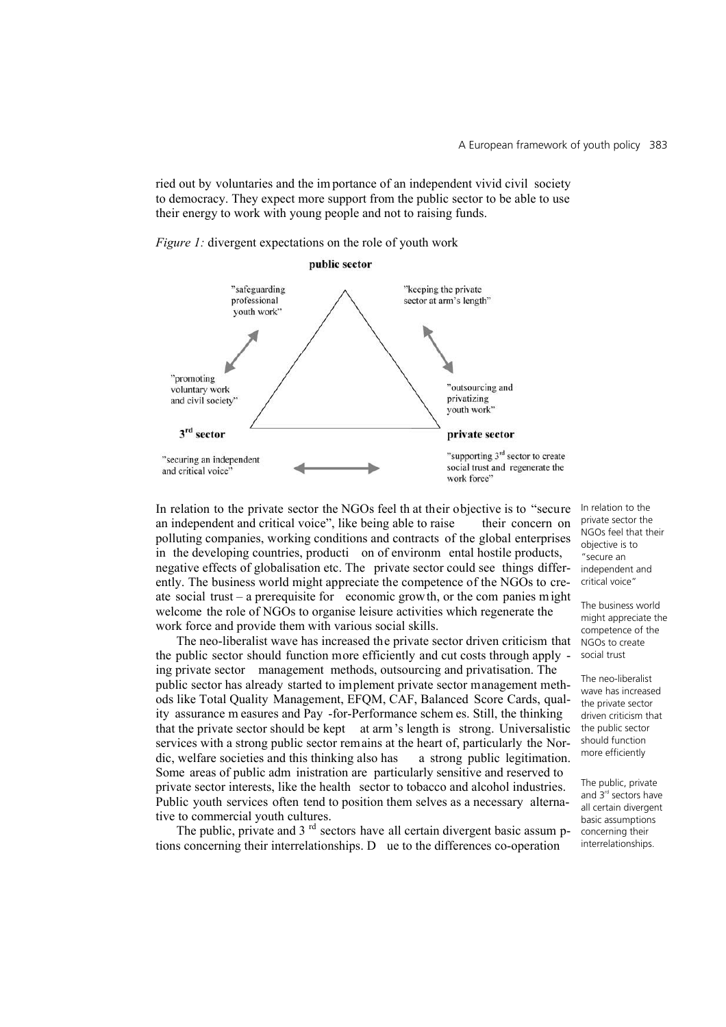ried out by voluntaries and the im portance of an independent vivid civil society to democracy. They expect more support from the public sector to be able to use their energy to work with young people and not to raising funds.

*Figure 1:* divergent expectations on the role of youth work



In relation to the private sector the NGOs feel th at their objective is to "secure an independent and critical voice", like being able to raise their concern on polluting companies, working conditions and contracts of the global enterprises in the developing countries, producti on of environm ental hostile products, negative effects of globalisation etc. The private sector could see things differently. The business world might appreciate the competence of the NGOs to create social trust – a prerequisite for economic grow th, or the com panies might welcome the role of NGOs to organise leisure activities which regenerate the work force and provide them with various social skills.

The neo-liberalist wave has increased the private sector driven criticism that the public sector should function more efficiently and cut costs through apply ing private sector management methods, outsourcing and privatisation. The public sector has already started to implement private sector management methods like Total Quality Management, EFQM, CAF, Balanced Score Cards, quality assurance m easures and Pay -for-Performance schem es. Still, the thinking that the private sector should be kept at arm's length is strong. Universalistic services with a strong public sector remains at the heart of, particularly the Nordic, welfare societies and this thinking also has a strong public legitimation. Some areas of public adm inistration are particularly sensitive and reserved to private sector interests, like the health sector to tobacco and alcohol industries. Public youth services often tend to position them selves as a necessary alternative to commercial youth cultures.

The public, private and  $3<sup>rd</sup>$  sectors have all certain divergent basic assum ptions concerning their interrelationships. D ue to the differences co-operation

In relation to the private sector the NGOs feel that their objective is to "secure an independent and critical voice"

The business world might appreciate the competence of the NGOs to create social trust

The neo-liberalist wave has increased the private sector driven criticism that the public sector should function more efficiently

The public, private and 3<sup>rd</sup> sectors have all certain divergent basic assumptions concerning their interrelationships.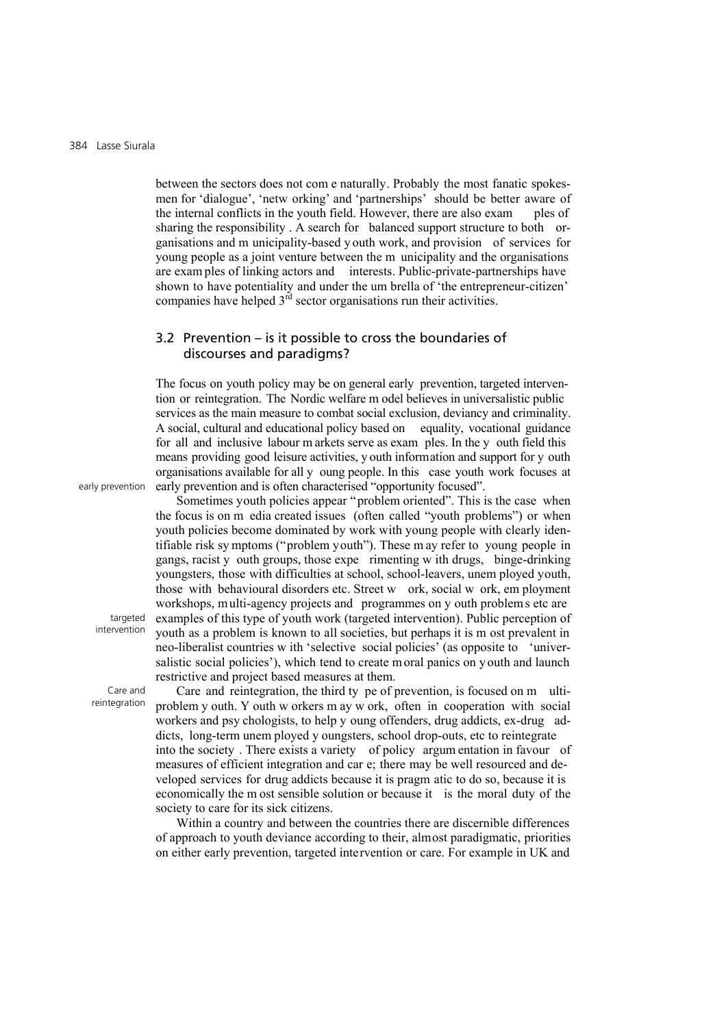between the sectors does not com e naturally. Probably the most fanatic spokesmen for 'dialogue', 'netw orking' and 'partnerships' should be better aware of the internal conflicts in the youth field. However, there are also exam ples of sharing the responsibility . A search for balanced support structure to both organisations and m unicipality-based y outh work, and provision of services for young people as a joint venture between the m unicipality and the organisations are exam ples of linking actors and interests. Public-private-partnerships have shown to have potentiality and under the um brella of 'the entrepreneur-citizen' companies have helped  $3<sup>rd</sup>$  sector organisations run their activities.

## 3.2 Prevention – is it possible to cross the boundaries of discourses and paradigms?

The focus on youth policy may be on general early prevention, targeted intervention or reintegration. The Nordic welfare m odel believes in universalistic public services as the main measure to combat social exclusion, deviancy and criminality. A social, cultural and educational policy based on equality, vocational guidance for all and inclusive labour m arkets serve as exam ples. In the y outh field this means providing good leisure activities, y outh information and support for y outh organisations available for all y oung people. In this case youth work focuses at early prevention and is often characterised "opportunity focused".

Sometimes youth policies appear "problem oriented". This is the case when the focus is on m edia created issues (often called "youth problems") or when youth policies become dominated by work with young people with clearly identifiable risk sy mptoms ("problem youth"). These m ay refer to young people in

early prevention

targeted intervention

Care and reintegration gangs, racist y outh groups, those expe rimenting w ith drugs, binge-drinking youngsters, those with difficulties at school, school-leavers, unem ployed youth, those with behavioural disorders etc. Street w ork, social w ork, em ployment workshops, multi-agency projects and programmes on y outh problems etc are examples of this type of youth work (targeted intervention). Public perception of youth as a problem is known to all societies, but perhaps it is m ost prevalent in neo-liberalist countries w ith 'selective social policies' (as opposite to 'universalistic social policies'), which tend to create moral panics on y outh and launch restrictive and project based measures at them. Care and reintegration, the third ty pe of prevention, is focused on m ultiproblem y outh. Y outh w orkers m ay w ork, often in cooperation with social

workers and psy chologists, to help y oung offenders, drug addicts, ex-drug addicts, long-term unem ployed y oungsters, school drop-outs, etc to reintegrate into the society . There exists a variety of policy argum entation in favour of measures of efficient integration and car e; there may be well resourced and developed services for drug addicts because it is pragm atic to do so, because it is economically the m ost sensible solution or because it is the moral duty of the society to care for its sick citizens.

Within a country and between the countries there are discernible differences of approach to youth deviance according to their, almost paradigmatic, priorities on either early prevention, targeted intervention or care. For example in UK and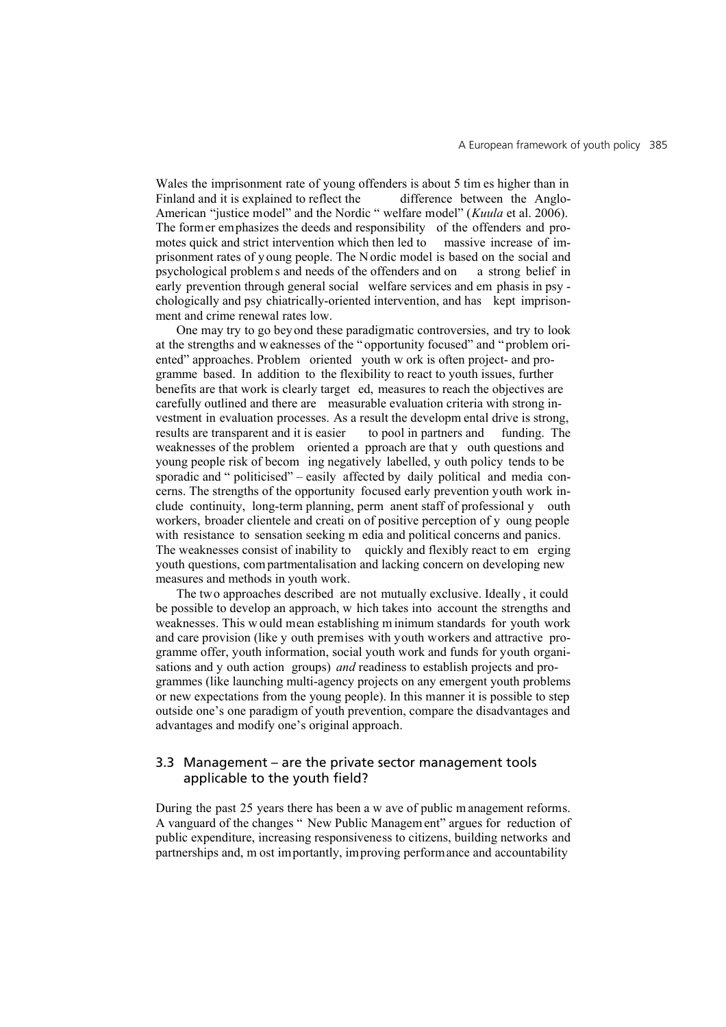Wales the imprisonment rate of young offenders is about 5 tim es higher than in Finland and it is explained to reflect the difference between the Anglo-American "justice model" and the Nordic " welfare model" (*Kuula* et al. 2006). The former emphasizes the deeds and responsibility of the offenders and promotes quick and strict intervention which then led to massive increase of imprisonment rates of y oung people. The N ordic model is based on the social and psychological problem s and needs of the offenders and on a strong belief in early prevention through general social welfare services and em phasis in psy chologically and psy chiatrically-oriented intervention, and has kept imprisonment and crime renewal rates low.

One may try to go beyond these paradigmatic controversies, and try to look at the strengths and w eaknesses of the " opportunity focused" and " problem oriented" approaches. Problem oriented youth w ork is often project- and programme based. In addition to the flexibility to react to youth issues, further benefits are that work is clearly target ed, measures to reach the objectives are carefully outlined and there are measurable evaluation criteria with strong investment in evaluation processes. As a result the developm ental drive is strong, results are transparent and it is easier to pool in partners and funding. The results are transparent and it is easier to pool in partners and funding. The weaknesses of the problem oriented a pproach are that y outh questions and young people risk of becom ing negatively labelled, y outh policy tends to be sporadic and " politicised" – easily affected by daily political and media concerns. The strengths of the opportunity focused early prevention youth work include continuity, long-term planning, perm anent staff of professional y outh workers, broader clientele and creati on of positive perception of y oung people with resistance to sensation seeking m edia and political concerns and panics. The weaknesses consist of inability to quickly and flexibly react to em erging youth questions, com partmentalisation and lacking concern on developing new measures and methods in youth work.

The two approaches described are not mutually exclusive. Ideally , it could be possible to develop an approach, w hich takes into account the strengths and weaknesses. This w ould mean establishing m inimum standards for youth work and care provision (like y outh premises with youth workers and attractive programme offer, youth information, social youth work and funds for youth organisations and y outh action groups) *and* readiness to establish projects and programmes (like launching multi-agency projects on any emergent youth problems or new expectations from the young people). In this manner it is possible to step outside one's one paradigm of youth prevention, compare the disadvantages and advantages and modify one's original approach.

## 3.3 Management – are the private sector management tools applicable to the youth field?

During the past 25 years there has been a w ave of public m anagement reforms. A vanguard of the changes " New Public Managem ent" argues for reduction of public expenditure, increasing responsiveness to citizens, building networks and partnerships and, m ost importantly, improving performance and accountability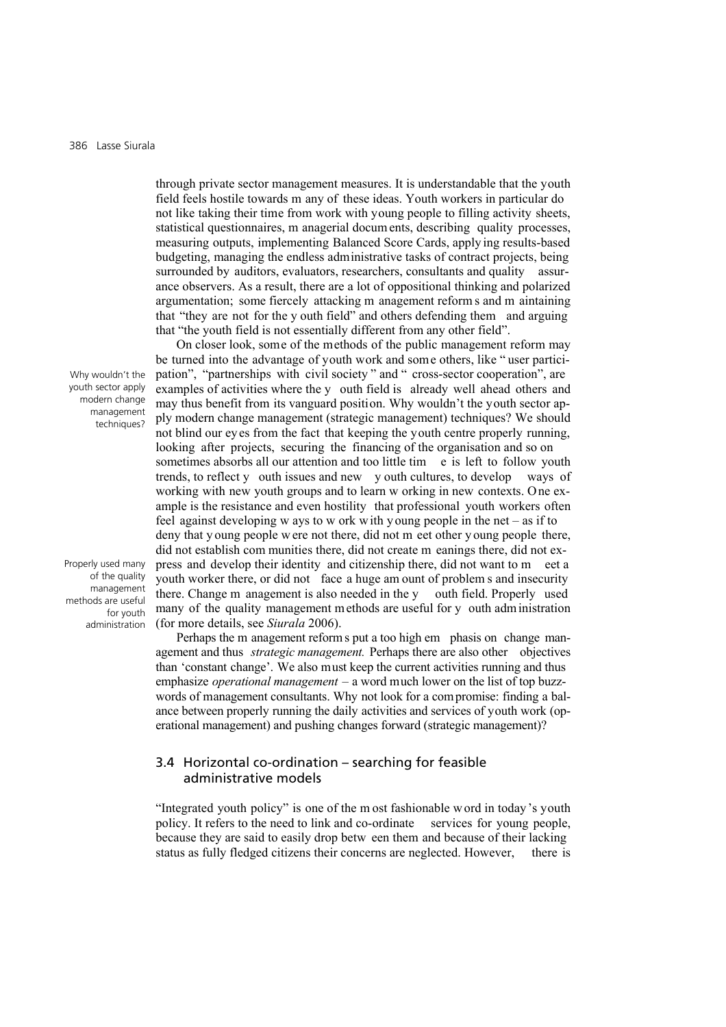through private sector management measures. It is understandable that the youth field feels hostile towards m any of these ideas. Youth workers in particular do not like taking their time from work with young people to filling activity sheets, statistical questionnaires, m anagerial docum ents, describing quality processes, measuring outputs, implementing Balanced Score Cards, apply ing results-based budgeting, managing the endless administrative tasks of contract projects, being surrounded by auditors, evaluators, researchers, consultants and quality assurance observers. As a result, there are a lot of oppositional thinking and polarized argumentation; some fiercely attacking m anagement reform s and m aintaining that "they are not for the y outh field" and others defending them and arguing that "the youth field is not essentially different from any other field".

On closer look, some of the methods of the public management reform may be turned into the advantage of youth work and some others, like " user participation", "partnerships with civil society " and " cross-sector cooperation", are examples of activities where the y outh field is already well ahead others and may thus benefit from its vanguard position. Why wouldn't the youth sector apply modern change management (strategic management) techniques? We should not blind our eyes from the fact that keeping the youth centre properly running, looking after projects, securing the financing of the organisation and so on sometimes absorbs all our attention and too little tim e is left to follow youth trends, to reflect y outh issues and new y outh cultures, to develop ways of working with new youth groups and to learn w orking in new contexts. One example is the resistance and even hostility that professional youth workers often feel against developing w ays to w ork w ith y oung people in the net – as if to deny that y oung people w ere not there, did not m eet other y oung people there, did not establish com munities there, did not create m eanings there, did not express and develop their identity and citizenship there, did not want to m eet a youth worker there, or did not face a huge am ount of problem s and insecurity there. Change m anagement is also needed in the y outh field. Properly used many of the quality management m ethods are useful for y outh adm inistration (for more details, see *Siurala* 2006).

Perhaps the m anagement reform s put a too high em phasis on change management and thus *strategic management.* Perhaps there are also other objectives than 'constant change'. We also must keep the current activities running and thus emphasize *operational management* – a word much lower on the list of top buzzwords of management consultants. Why not look for a compromise: finding a balance between properly running the daily activities and services of youth work (operational management) and pushing changes forward (strategic management)?

## 3.4 Horizontal co-ordination – searching for feasible administrative models

"Integrated youth policy" is one of the m ost fashionable w ord in today 's youth policy. It refers to the need to link and co-ordinate services for young people, because they are said to easily drop betw een them and because of their lacking status as fully fledged citizens their concerns are neglected. However, there is

Why wouldn't the youth sector apply modern change management techniques?

Properly used many of the quality management methods are useful for youth administration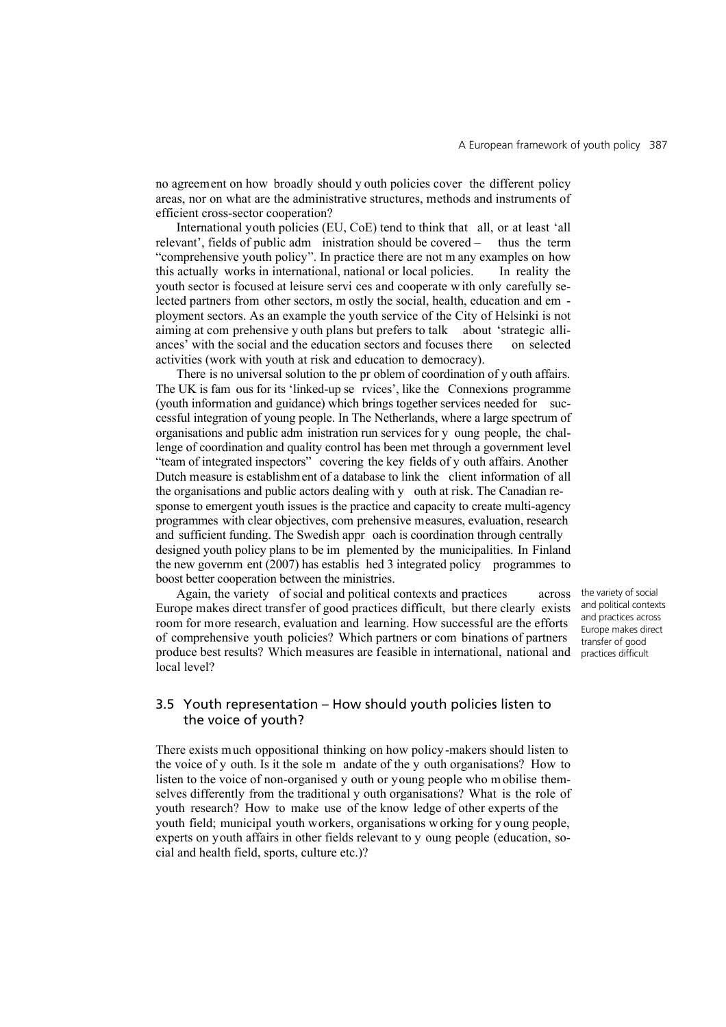no agreement on how broadly should y outh policies cover the different policy areas, nor on what are the administrative structures, methods and instruments of efficient cross-sector cooperation?

International youth policies (EU, CoE) tend to think that all, or at least 'all relevant', fields of public adm inistration should be covered – thus the term "comprehensive youth policy". In practice there are not m any examples on how this actually works in international, national or local policies. In reality the youth sector is focused at leisure servi ces and cooperate w ith only carefully selected partners from other sectors, m ostly the social, health, education and em ployment sectors. As an example the youth service of the City of Helsinki is not aiming at com prehensive y outh plans but prefers to talk about 'strategic alliances' with the social and the education sectors and focuses there on selected activities (work with youth at risk and education to democracy).

There is no universal solution to the pr oblem of coordination of y outh affairs. The UK is fam ous for its 'linked-up se rvices', like the Connexions programme (youth information and guidance) which brings together services needed for successful integration of young people. In The Netherlands, where a large spectrum of organisations and public adm inistration run services for y oung people, the challenge of coordination and quality control has been met through a government level "team of integrated inspectors" covering the key fields of y outh affairs. Another Dutch measure is establishment of a database to link the client information of all the organisations and public actors dealing with y outh at risk. The Canadian response to emergent youth issues is the practice and capacity to create multi-agency programmes with clear objectives, com prehensive measures, evaluation, research and sufficient funding. The Swedish appr oach is coordination through centrally designed youth policy plans to be im plemented by the municipalities. In Finland the new governm ent (2007) has establis hed 3 integrated policy programmes to boost better cooperation between the ministries.

Again, the variety of social and political contexts and practices across Europe makes direct transfer of good practices difficult, but there clearly exists room for more research, evaluation and learning. How successful are the efforts of comprehensive youth policies? Which partners or com binations of partners produce best results? Which measures are feasible in international, national and local level?

the variety of social and political contexts and practices across Europe makes direct transfer of good practices difficult

## 3.5 Youth representation – How should youth policies listen to the voice of youth?

There exists much oppositional thinking on how policy-makers should listen to the voice of y outh. Is it the sole m andate of the y outh organisations? How to listen to the voice of non-organised y outh or young people who m obilise themselves differently from the traditional y outh organisations? What is the role of youth research? How to make use of the know ledge of other experts of the youth field; municipal youth workers, organisations w orking for y oung people, experts on youth affairs in other fields relevant to y oung people (education, social and health field, sports, culture etc.)?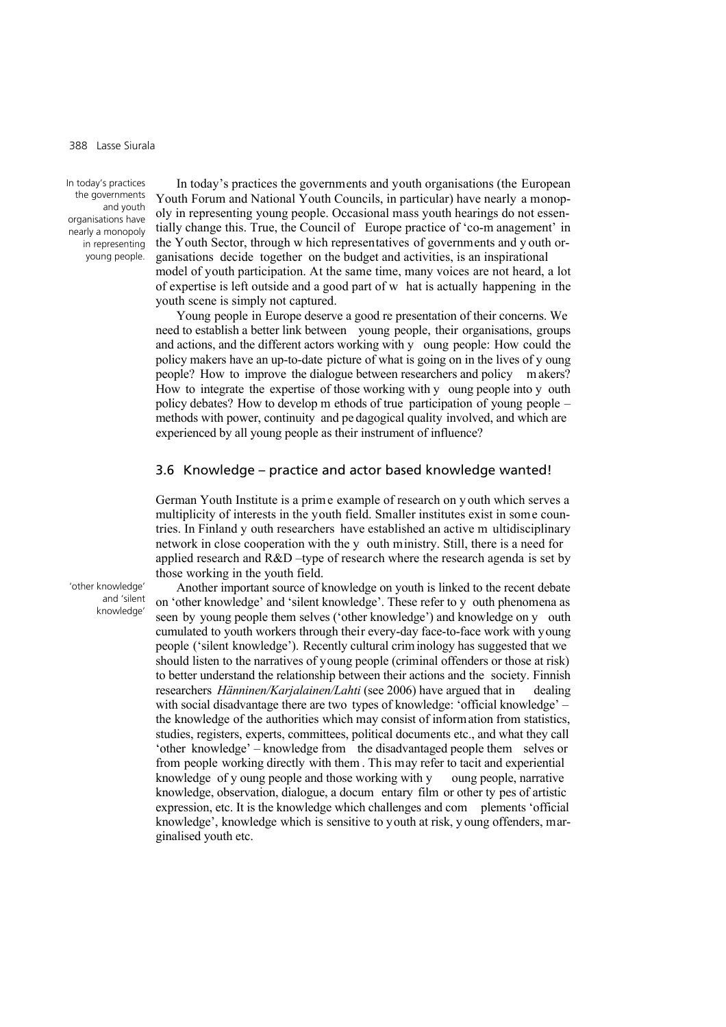In today's practices the governments and youth organisations have nearly a monopoly in representing young people.

In today's practices the governments and youth organisations (the European Youth Forum and National Youth Councils, in particular) have nearly a monopoly in representing young people. Occasional mass youth hearings do not essentially change this. True, the Council of Europe practice of 'co-m anagement' in the Youth Sector, through w hich representatives of governments and y outh organisations decide together on the budget and activities, is an inspirational model of youth participation. At the same time, many voices are not heard, a lot of expertise is left outside and a good part of w hat is actually happening in the youth scene is simply not captured.

Young people in Europe deserve a good re presentation of their concerns. We need to establish a better link between young people, their organisations, groups and actions, and the different actors working with y oung people: How could the policy makers have an up-to-date picture of what is going on in the lives of y oung people? How to improve the dialogue between researchers and policy m akers? How to integrate the expertise of those working with y oung people into y outh policy debates? How to develop m ethods of true participation of young people – methods with power, continuity and pe dagogical quality involved, and which are experienced by all young people as their instrument of influence?

#### 3.6 Knowledge – practice and actor based knowledge wanted!

German Youth Institute is a prim e example of research on y outh which serves a multiplicity of interests in the youth field. Smaller institutes exist in some countries. In Finland y outh researchers have established an active m ultidisciplinary network in close cooperation with the y outh ministry. Still, there is a need for applied research and  $R&D$  –type of research where the research agenda is set by those working in the youth field.

Another important source of knowledge on youth is linked to the recent debate on 'other knowledge' and 'silent knowledge'. These refer to y outh phenomena as seen by young people them selves ('other knowledge') and knowledge on y outh cumulated to youth workers through their every-day face-to-face work with young people ('silent knowledge'). Recently cultural crim inology has suggested that we should listen to the narratives of young people (criminal offenders or those at risk) to better understand the relationship between their actions and the society. Finnish researchers *Hänninen/Karjalainen/Lahti* (see 2006) have argued that in dealing with social disadvantage there are two types of knowledge: 'official knowledge' – the knowledge of the authorities which may consist of information from statistics, studies, registers, experts, committees, political documents etc., and what they call 'other knowledge' – knowledge from the disadvantaged people them selves or from people working directly with them . This may refer to tacit and experiential knowledge of y oung people and those working with y oung people, narrative knowledge, observation, dialogue, a docum entary film or other ty pes of artistic expression, etc. It is the knowledge which challenges and com plements 'official knowledge', knowledge which is sensitive to youth at risk, y oung offenders, marginalised youth etc.

'other knowledge' and 'silent knowledge'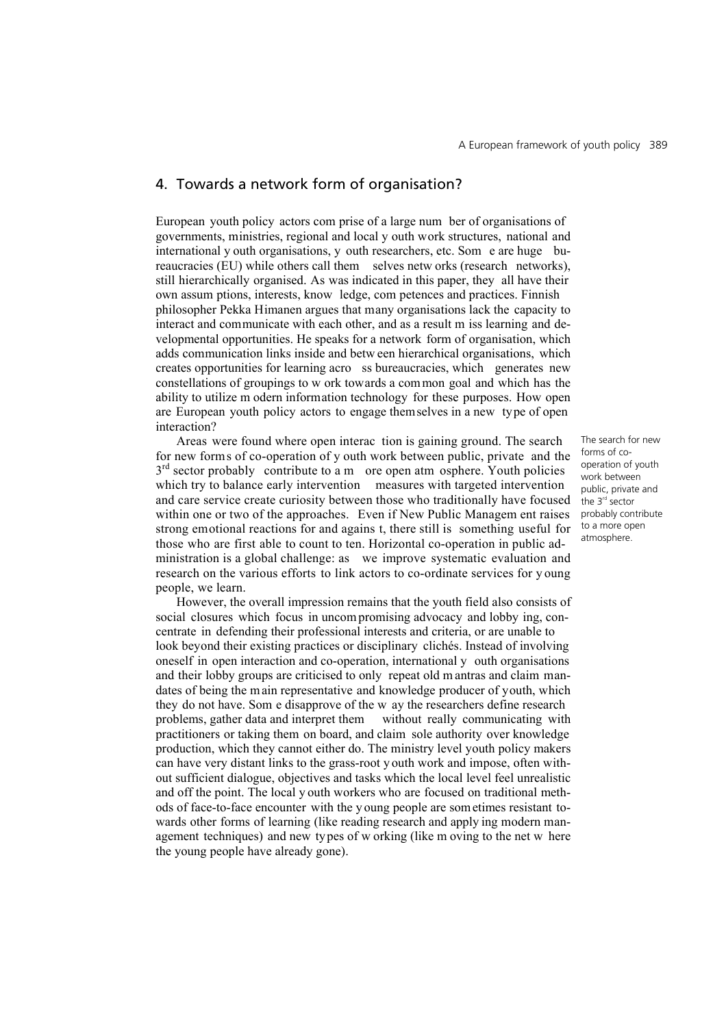## 4. Towards a network form of organisation?

European youth policy actors com prise of a large num ber of organisations of governments, ministries, regional and local y outh work structures, national and international y outh organisations, y outh researchers, etc. Som e are huge bureaucracies (EU) while others call them selves netw orks (research networks), still hierarchically organised. As was indicated in this paper, they all have their own assum ptions, interests, know ledge, com petences and practices. Finnish philosopher Pekka Himanen argues that many organisations lack the capacity to interact and communicate with each other, and as a result m iss learning and developmental opportunities. He speaks for a network form of organisation, which adds communication links inside and betw een hierarchical organisations, which creates opportunities for learning acro ss bureaucracies, which generates new constellations of groupings to w ork towards a common goal and which has the ability to utilize m odern information technology for these purposes. How open are European youth policy actors to engage themselves in a new type of open interaction?

Areas were found where open interac tion is gaining ground. The search for new forms of co-operation of y outh work between public, private and the  $3<sup>rd</sup>$  sector probably contribute to a m ore open atm osphere. Youth policies which try to balance early intervention measures with targeted intervention and care service create curiosity between those who traditionally have focused within one or two of the approaches. Even if New Public Managem ent raises strong emotional reactions for and agains t, there still is something useful for those who are first able to count to ten. Horizontal co-operation in public administration is a global challenge: as we improve systematic evaluation and research on the various efforts to link actors to co-ordinate services for y oung people, we learn.

However, the overall impression remains that the youth field also consists of social closures which focus in uncom promising advocacy and lobby ing, concentrate in defending their professional interests and criteria, or are unable to look beyond their existing practices or disciplinary clichés. Instead of involving oneself in open interaction and co-operation, international y outh organisations and their lobby groups are criticised to only repeat old m antras and claim mandates of being the main representative and knowledge producer of youth, which they do not have. Som e disapprove of the w ay the researchers define research problems, gather data and interpret them without really communicating with practitioners or taking them on board, and claim sole authority over knowledge production, which they cannot either do. The ministry level youth policy makers can have very distant links to the grass-root y outh work and impose, often without sufficient dialogue, objectives and tasks which the local level feel unrealistic and off the point. The local y outh workers who are focused on traditional methods of face-to-face encounter with the y oung people are sometimes resistant towards other forms of learning (like reading research and apply ing modern management techniques) and new types of w orking (like m oving to the net w here the young people have already gone).

The search for new forms of cooperation of youth work between public, private and the  $3<sup>rd</sup>$  sector probably contribute to a more open atmosphere.